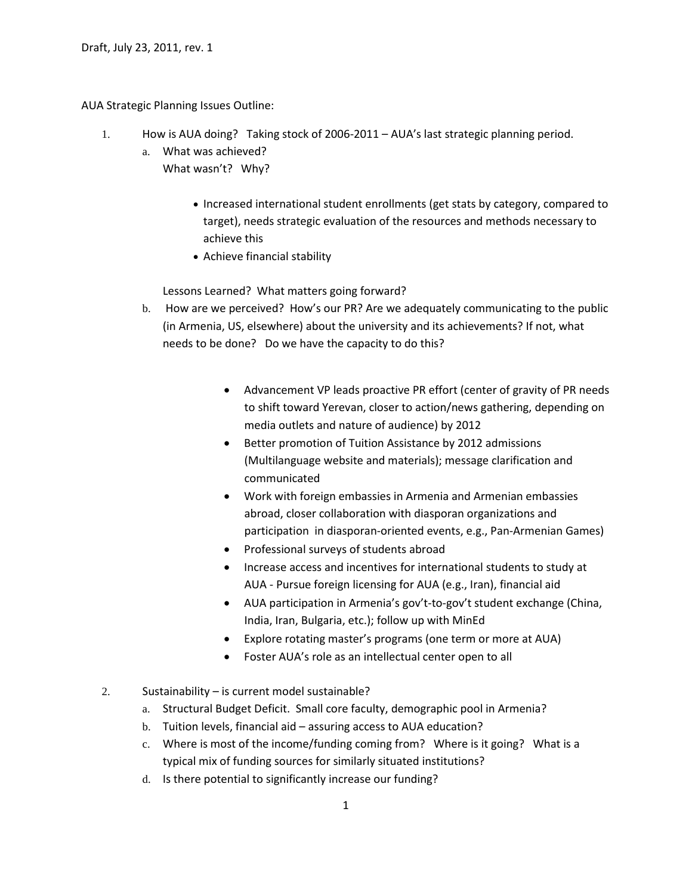AUA Strategic Planning Issues Outline:

- 1. How is AUA doing? Taking stock of 2006-2011 AUA's last strategic planning period.
	- a. What was achieved? What wasn't? Why?
		- Increased international student enrollments (get stats by category, compared to target), needs strategic evaluation of the resources and methods necessary to achieve this
		- Achieve financial stability

Lessons Learned? What matters going forward?

- b. How are we perceived? How's our PR? Are we adequately communicating to the public (in Armenia, US, elsewhere) about the university and its achievements? If not, what needs to be done? Do we have the capacity to do this?
	- Advancement VP leads proactive PR effort (center of gravity of PR needs to shift toward Yerevan, closer to action/news gathering, depending on media outlets and nature of audience) by 2012
	- Better promotion of Tuition Assistance by 2012 admissions (Multilanguage website and materials); message clarification and communicated
	- Work with foreign embassies in Armenia and Armenian embassies abroad, closer collaboration with diasporan organizations and participation in diasporan-oriented events, e.g., Pan-Armenian Games)
	- Professional surveys of students abroad
	- Increase access and incentives for international students to study at AUA - Pursue foreign licensing for AUA (e.g., Iran), financial aid
	- AUA participation in Armenia's gov't-to-gov't student exchange (China, India, Iran, Bulgaria, etc.); follow up with MinEd
	- Explore rotating master's programs (one term or more at AUA)
	- Foster AUA's role as an intellectual center open to all
- 2. Sustainability is current model sustainable?
	- a. Structural Budget Deficit. Small core faculty, demographic pool in Armenia?
	- b. Tuition levels, financial aid assuring access to AUA education?
	- c. Where is most of the income/funding coming from? Where is it going? What is a typical mix of funding sources for similarly situated institutions?
	- d. Is there potential to significantly increase our funding?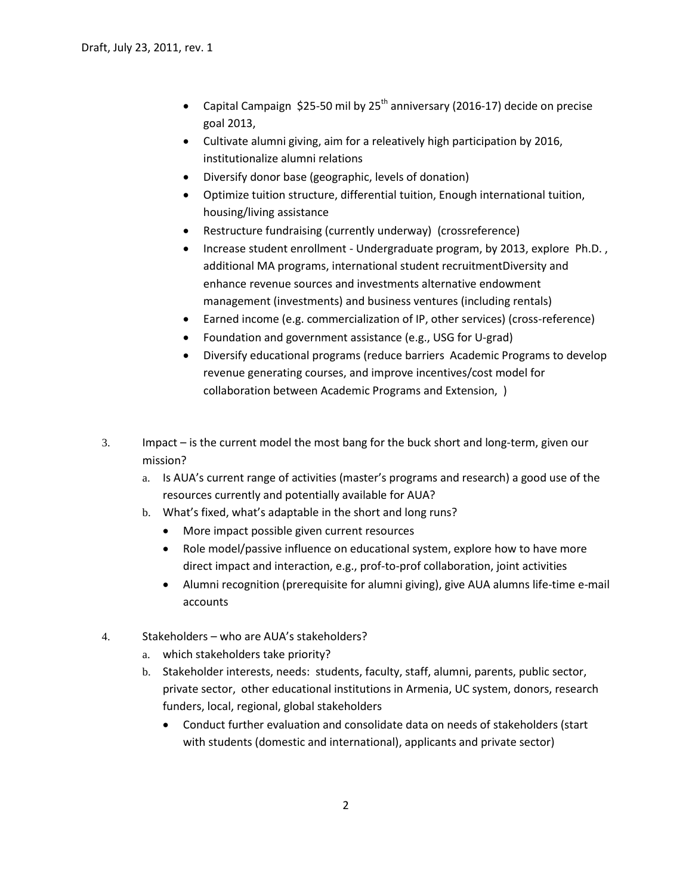- Capital Campaign \$25-50 mil by  $25<sup>th</sup>$  anniversary (2016-17) decide on precise goal 2013,
- Cultivate alumni giving, aim for a releatively high participation by 2016, institutionalize alumni relations
- Diversify donor base (geographic, levels of donation)
- Optimize tuition structure, differential tuition, Enough international tuition, housing/living assistance
- Restructure fundraising (currently underway) (crossreference)
- Increase student enrollment Undergraduate program, by 2013, explore Ph.D. , additional MA programs, international student recruitmentDiversity and enhance revenue sources and investments alternative endowment management (investments) and business ventures (including rentals)
- Earned income (e.g. commercialization of IP, other services) (cross-reference)
- Foundation and government assistance (e.g., USG for U-grad)
- Diversify educational programs (reduce barriers Academic Programs to develop revenue generating courses, and improve incentives/cost model for collaboration between Academic Programs and Extension, )
- 3. Impact is the current model the most bang for the buck short and long-term, given our mission?
	- a. Is AUA's current range of activities (master's programs and research) a good use of the resources currently and potentially available for AUA?
	- b. What's fixed, what's adaptable in the short and long runs?
		- More impact possible given current resources
		- Role model/passive influence on educational system, explore how to have more direct impact and interaction, e.g., prof-to-prof collaboration, joint activities
		- Alumni recognition (prerequisite for alumni giving), give AUA alumns life-time e-mail accounts
- 4. Stakeholders who are AUA's stakeholders?
	- a. which stakeholders take priority?
	- b. Stakeholder interests, needs: students, faculty, staff, alumni, parents, public sector, private sector, other educational institutions in Armenia, UC system, donors, research funders, local, regional, global stakeholders
		- Conduct further evaluation and consolidate data on needs of stakeholders (start with students (domestic and international), applicants and private sector)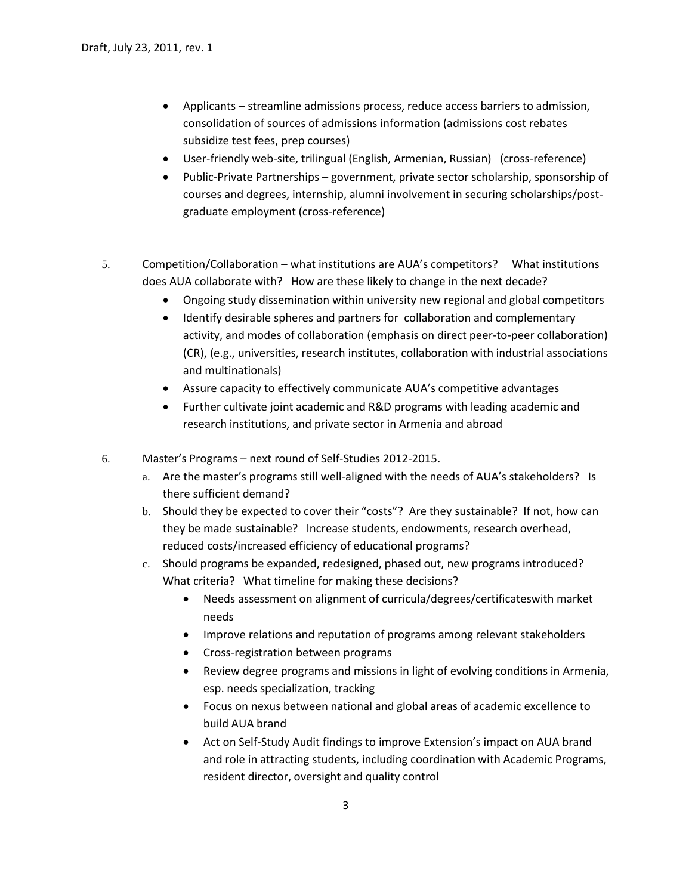- Applicants streamline admissions process, reduce access barriers to admission, consolidation of sources of admissions information (admissions cost rebates subsidize test fees, prep courses)
- User-friendly web-site, trilingual (English, Armenian, Russian) (cross-reference)
- Public-Private Partnerships government, private sector scholarship, sponsorship of courses and degrees, internship, alumni involvement in securing scholarships/postgraduate employment (cross-reference)
- 5. Competition/Collaboration what institutions are AUA's competitors? What institutions does AUA collaborate with? How are these likely to change in the next decade?
	- Ongoing study dissemination within university new regional and global competitors
	- Identify desirable spheres and partners for collaboration and complementary activity, and modes of collaboration (emphasis on direct peer-to-peer collaboration) (CR), (e.g., universities, research institutes, collaboration with industrial associations and multinationals)
	- Assure capacity to effectively communicate AUA's competitive advantages
	- Further cultivate joint academic and R&D programs with leading academic and research institutions, and private sector in Armenia and abroad
- 6. Master's Programs next round of Self-Studies 2012-2015.
	- a. Are the master's programs still well-aligned with the needs of AUA's stakeholders? Is there sufficient demand?
	- b. Should they be expected to cover their "costs"? Are they sustainable? If not, how can they be made sustainable? Increase students, endowments, research overhead, reduced costs/increased efficiency of educational programs?
	- c. Should programs be expanded, redesigned, phased out, new programs introduced? What criteria? What timeline for making these decisions?
		- Needs assessment on alignment of curricula/degrees/certificateswith market needs
		- Improve relations and reputation of programs among relevant stakeholders
		- Cross-registration between programs
		- Review degree programs and missions in light of evolving conditions in Armenia, esp. needs specialization, tracking
		- Focus on nexus between national and global areas of academic excellence to build AUA brand
		- Act on Self-Study Audit findings to improve Extension's impact on AUA brand and role in attracting students, including coordination with Academic Programs, resident director, oversight and quality control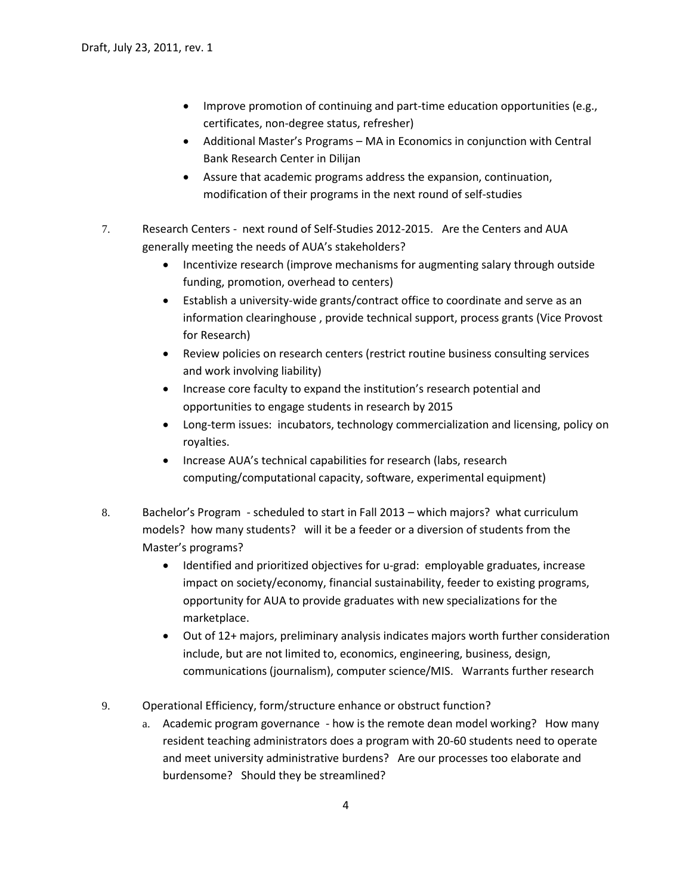- Improve promotion of continuing and part-time education opportunities (e.g., certificates, non-degree status, refresher)
- Additional Master's Programs MA in Economics in conjunction with Central Bank Research Center in Dilijan
- Assure that academic programs address the expansion, continuation, modification of their programs in the next round of self-studies
- 7. Research Centers next round of Self-Studies 2012-2015. Are the Centers and AUA generally meeting the needs of AUA's stakeholders?
	- Incentivize research (improve mechanisms for augmenting salary through outside funding, promotion, overhead to centers)
	- Establish a university-wide grants/contract office to coordinate and serve as an information clearinghouse , provide technical support, process grants (Vice Provost for Research)
	- Review policies on research centers (restrict routine business consulting services and work involving liability)
	- Increase core faculty to expand the institution's research potential and opportunities to engage students in research by 2015
	- Long-term issues: incubators, technology commercialization and licensing, policy on royalties.
	- Increase AUA's technical capabilities for research (labs, research computing/computational capacity, software, experimental equipment)
- 8. Bachelor's Program scheduled to start in Fall 2013 which majors? what curriculum models? how many students? will it be a feeder or a diversion of students from the Master's programs?
	- Identified and prioritized objectives for u-grad: employable graduates, increase impact on society/economy, financial sustainability, feeder to existing programs, opportunity for AUA to provide graduates with new specializations for the marketplace.
	- Out of 12+ majors, preliminary analysis indicates majors worth further consideration include, but are not limited to, economics, engineering, business, design, communications (journalism), computer science/MIS. Warrants further research
- 9. Operational Efficiency, form/structure enhance or obstruct function?
	- a. Academic program governance how is the remote dean model working? How many resident teaching administrators does a program with 20-60 students need to operate and meet university administrative burdens? Are our processes too elaborate and burdensome? Should they be streamlined?